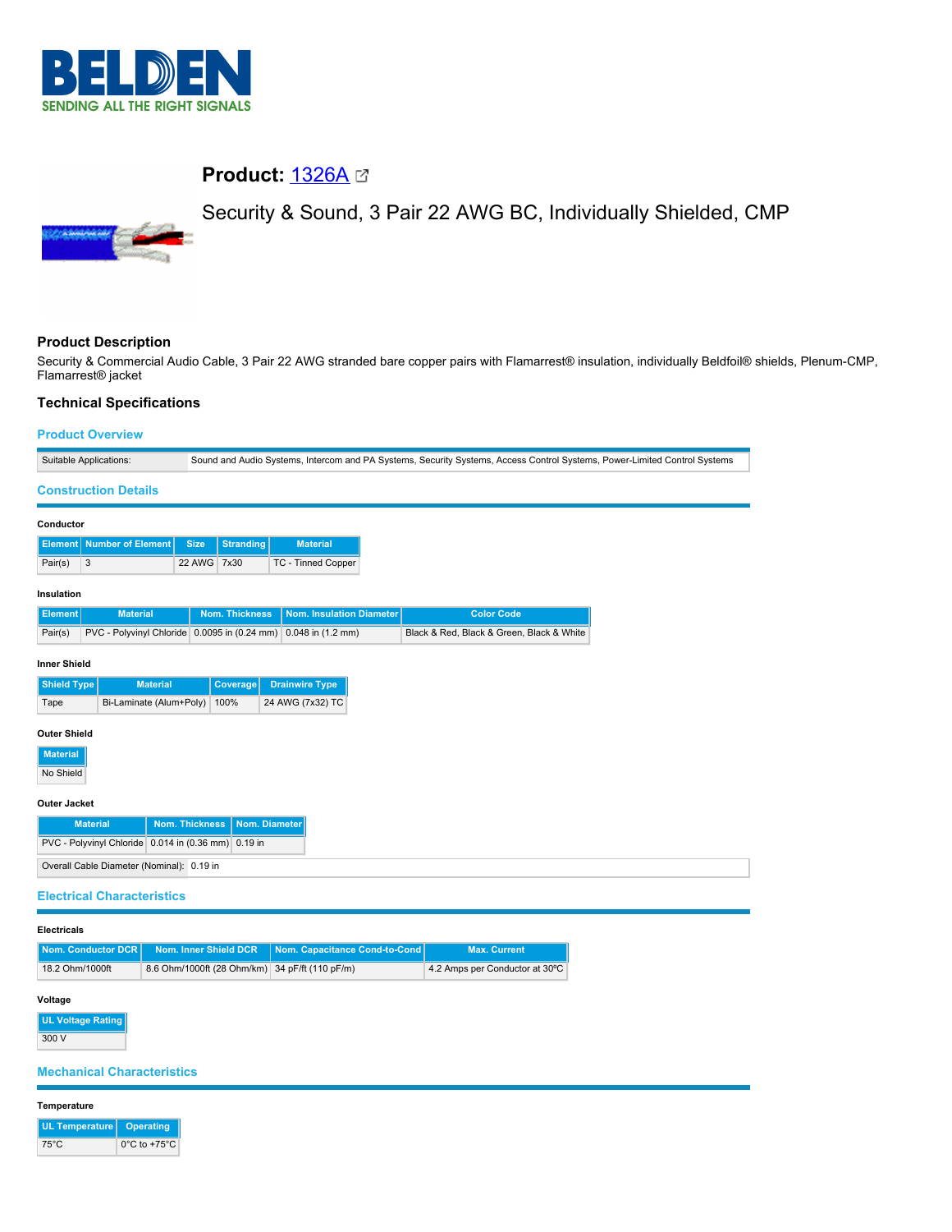

# **Product:** [1326A](https://catalog.belden.com/index.cfm?event=pd&p=PF_1326A&tab=downloads)

# Security & Sound, 3 Pair 22 AWG BC, Individually Shielded, CMP



## **Product Description**

Security & Commercial Audio Cable, 3 Pair 22 AWG stranded bare copper pairs with Flamarrest® insulation, individually Beldfoil® shields, Plenum-CMP, Flamarrest® jacket

## **Technical Specifications**

| <b>Product Overview</b>         |                                           |                       |                                                                                                                           |                                                |  |                                           |  |  |  |
|---------------------------------|-------------------------------------------|-----------------------|---------------------------------------------------------------------------------------------------------------------------|------------------------------------------------|--|-------------------------------------------|--|--|--|
| Suitable Applications:          |                                           |                       | Sound and Audio Systems, Intercom and PA Systems, Security Systems, Access Control Systems, Power-Limited Control Systems |                                                |  |                                           |  |  |  |
|                                 | <b>Construction Details</b>               |                       |                                                                                                                           |                                                |  |                                           |  |  |  |
| Conductor                       |                                           |                       |                                                                                                                           |                                                |  |                                           |  |  |  |
| Element                         | <b>Number of Element</b>                  |                       | <b>Size</b><br><b>Stranding</b>                                                                                           | <b>Material</b>                                |  |                                           |  |  |  |
| 3<br>Pair(s)                    |                                           |                       | 22 AWG 7x30                                                                                                               | TC - Tinned Copper                             |  |                                           |  |  |  |
| Insulation                      |                                           |                       |                                                                                                                           |                                                |  |                                           |  |  |  |
| <b>Element</b>                  | <b>Material</b>                           |                       | <b>Nom. Thickness</b>                                                                                                     | <b>Nom. Insulation Diameter</b>                |  | <b>Color Code</b>                         |  |  |  |
| Pair(s)                         |                                           |                       | PVC - Polyvinyl Chloride 0.0095 in (0.24 mm)                                                                              | $0.048$ in $(1.2$ mm)                          |  | Black & Red, Black & Green, Black & White |  |  |  |
| <b>Inner Shield</b>             |                                           |                       |                                                                                                                           |                                                |  |                                           |  |  |  |
| <b>Shield Type</b>              |                                           | <b>Material</b>       | Coverage                                                                                                                  | <b>Drainwire Type</b>                          |  |                                           |  |  |  |
| Bi-Laminate (Alum+Poly)<br>Tape |                                           |                       | 24 AWG (7x32) TC<br>100%                                                                                                  |                                                |  |                                           |  |  |  |
| <b>Outer Shield</b>             |                                           |                       |                                                                                                                           |                                                |  |                                           |  |  |  |
| <b>Material</b>                 |                                           |                       |                                                                                                                           |                                                |  |                                           |  |  |  |
| No Shield                       |                                           |                       |                                                                                                                           |                                                |  |                                           |  |  |  |
| Outer Jacket                    |                                           |                       |                                                                                                                           |                                                |  |                                           |  |  |  |
|                                 | <b>Material</b>                           | <b>Nom. Thickness</b> |                                                                                                                           | Nom. Diameter                                  |  |                                           |  |  |  |
|                                 |                                           |                       | PVC - Polyvinyl Chloride 0.014 in (0.36 mm) 0.19 in                                                                       |                                                |  |                                           |  |  |  |
|                                 | Overall Cable Diameter (Nominal): 0.19 in |                       |                                                                                                                           |                                                |  |                                           |  |  |  |
|                                 | <b>Electrical Characteristics</b>         |                       |                                                                                                                           |                                                |  |                                           |  |  |  |
| <b>Electricals</b>              |                                           |                       |                                                                                                                           |                                                |  |                                           |  |  |  |
|                                 | Nom. Conductor DCR                        |                       | Nom. Inner Shield DCR                                                                                                     | Nom. Capacitance Cond-to-Cond                  |  | <b>Max. Current</b>                       |  |  |  |
| 18.2 Ohm/1000ft                 |                                           |                       |                                                                                                                           | 8.6 Ohm/1000ft (28 Ohm/km) 34 pF/ft (110 pF/m) |  | 4.2 Amps per Conductor at 30°C            |  |  |  |

# **Voltage**

**UL Voltage Rating** 300 V

**Mechanical Characteristics**

### **Temperature**

| UL Temperature   Operating |                                   |
|----------------------------|-----------------------------------|
| 75°C                       | $0^{\circ}$ C to +75 $^{\circ}$ C |